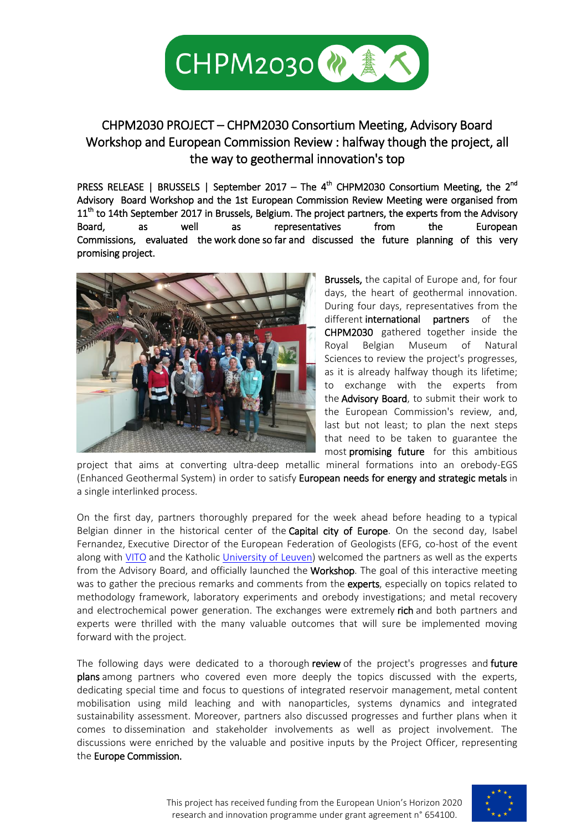

## CHPM2030 PROJECT – CHPM2030 Consortium Meeting, Advisory Board Workshop and European Commission Review : halfway though the project, all the way to geothermal innovation's top

PRESS RELEASE | BRUSSELS | September 2017 – The 4<sup>th</sup> CHPM2030 Consortium Meeting, the 2<sup>nd</sup> Advisory Board Workshop and the 1st European Commission Review Meeting were organised from 11<sup>th</sup> to 14th September 2017 in Brussels, Belgium. The project partners, the experts from the Advisory Board, as well as representatives from the European Commissions, evaluated the work done so far and discussed the future planning of this very promising project.



Brussels, the capital of Europe and, for four days, the heart of geothermal innovation. During four days, representatives from the different international partners of the CHPM2030 gathered together inside the Royal Belgian Museum of Natural Sciences to review the project's progresses, as it is already halfway though its lifetime; to exchange with the experts from the **Advisory Board**, to submit their work to the European Commission's review, and, last but not least; to plan the next steps that need to be taken to guarantee the most promising future for this ambitious

project that aims at converting ultra-deep metallic mineral formations into an orebody-EGS (Enhanced Geothermal System) in order to satisfy European needs for energy and strategic metals in a single interlinked process.

On the first day, partners thoroughly prepared for the week ahead before heading to a typical Belgian dinner in the historical center of the **Capital city of Europe**. On the second day, Isabel Fernandez, Executive Director of the European Federation of Geologists (EFG, co-host of the event along with [VITO](https://www.google.be/url?sa=t&rct=j&q=&esrc=s&source=web&cd=1&cad=rja&uact=8&ved=0ahUKEwiwieKwpKTWAhUjAcAKHRLABTcQFggoMAA&url=https%3A%2F%2Fvito.be%2Fen&usg=AFQjCNF09puhbPSd43IesI2Md6ei283niw) and the Katholi[c University of Leuven\)](https://www.google.be/url?sa=t&rct=j&q=&esrc=s&source=web&cd=1&cad=rja&uact=8&ved=0ahUKEwjH6sq1pKTWAhXFBcAKHfAPAJsQFggpMAA&url=https%3A%2F%2Fwww.kuleuven.be%2F&usg=AFQjCNG7BHGNR3sH9J5oKgz600Oj6pc6aA) welcomed the partners as well as the experts from the Advisory Board, and officially launched the Workshop. The goal of this interactive meeting was to gather the precious remarks and comments from the experts, especially on topics related to methodology framework, laboratory experiments and orebody investigations; and metal recovery and electrochemical power generation. The exchanges were extremely rich and both partners and experts were thrilled with the many valuable outcomes that will sure be implemented moving forward with the project.

The following days were dedicated to a thorough review of the project's progresses and future plans among partners who covered even more deeply the topics discussed with the experts, dedicating special time and focus to questions of integrated reservoir management, metal content mobilisation using mild leaching and with nanoparticles, systems dynamics and integrated sustainability assessment. Moreover, partners also discussed progresses and further plans when it comes to dissemination and stakeholder involvements as well as project involvement. The discussions were enriched by the valuable and positive inputs by the Project Officer, representing the Europe Commission.